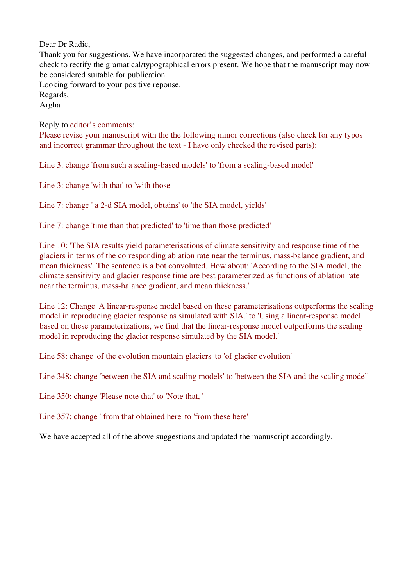Dear Dr Radic,

Thank you for suggestions. We have incorporated the suggested changes, and performed a careful check to rectify the gramatical/typographical errors present. We hope that the manuscript may now be considered suitable for publication.

Looking forward to your positive reponse. Regards, Argha

Reply to editor's comments: Please revise your manuscript with the the following minor corrections (also check for any typos and incorrect grammar throughout the text - I have only checked the revised parts):

Line 3: change 'from such a scaling-based models' to 'from a scaling-based model'

Line 3: change 'with that' to 'with those'

Line 7: change ' a 2-d SIA model, obtains' to 'the SIA model, yields'

Line 7: change 'time than that predicted' to 'time than those predicted'

Line 10: 'The SIA results yield parameterisations of climate sensitivity and response time of the glaciers in terms of the corresponding ablation rate near the terminus, mass-balance gradient, and mean thickness'. The sentence is a bot convoluted. How about: 'According to the SIA model, the climate sensitivity and glacier response time are best parameterized as functions of ablation rate near the terminus, mass-balance gradient, and mean thickness.'

Line 12: Change 'A linear-response model based on these parameterisations outperforms the scaling model in reproducing glacier response as simulated with SIA.' to 'Using a linear-response model based on these parameterizations, we find that the linear-response model outperforms the scaling model in reproducing the glacier response simulated by the SIA model.'

Line 58: change 'of the evolution mountain glaciers' to 'of glacier evolution'

Line 348: change 'between the SIA and scaling models' to 'between the SIA and the scaling model'

Line 350: change 'Please note that' to 'Note that, '

Line 357: change ' from that obtained here' to 'from these here'

We have accepted all of the above suggestions and updated the manuscript accordingly.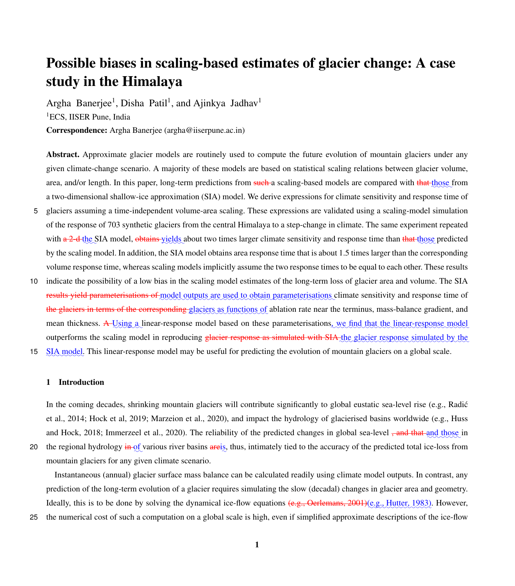# Possible biases in scaling-based estimates of glacier change: A case study in the Himalaya

Argha Banerjee<sup>1</sup>, Disha Patil<sup>1</sup>, and Ajinkya Jadhav<sup>1</sup> <sup>1</sup>ECS, IISER Pune, India

Correspondence: Argha Banerjee (argha@iiserpune.ac.in)

Abstract. Approximate glacier models are routinely used to compute the future evolution of mountain glaciers under any given climate-change scenario. A majority of these models are based on statistical scaling relations between glacier volume, area, and/or length. In this paper, long-term predictions from such a scaling-based models are compared with that those from a two-dimensional shallow-ice approximation (SIA) model. We derive expressions for climate sensitivity and response time of

- 5 glaciers assuming a time-independent volume-area scaling. These expressions are validated using a scaling-model simulation of the response of 703 synthetic glaciers from the central Himalaya to a step-change in climate. The same experiment repeated with  $a^2$ -d-the SIA model, obtains yields about two times larger climate sensitivity and response time than that those predicted by the scaling model. In addition, the SIA model obtains area response time that is about 1.5 times larger than the corresponding volume response time, whereas scaling models implicitly assume the two response times to be equal to each other. These results
- 10 indicate the possibility of a low bias in the scaling model estimates of the long-term loss of glacier area and volume. The SIA results yield parameterisations of model outputs are used to obtain parameterisations climate sensitivity and response time of the glaciers in terms of the corresponding glaciers as functions of ablation rate near the terminus, mass-balance gradient, and mean thickness. A-Using a linear-response model based on these parameterisations, we find that the linear-response model outperforms the scaling model in reproducing *glacier* response as simulated with SIA the glacier response simulated by the
- 15 SIA model. This linear-response model may be useful for predicting the evolution of mountain glaciers on a global scale.

# 1 Introduction

In the coming decades, shrinking mountain glaciers will contribute significantly to global eustatic sea-level rise (e.g., Radić et al., 2014; Hock et al, 2019; Marzeion et al., 2020), and impact the hydrology of glacierised basins worldwide (e.g., Huss and Hock, 2018; Immerzeel et al., 2020). The reliability of the predicted changes in global sea-level <del>, and that and those</del> in

20 the regional hydrology  $\frac{1}{2}$  the  $\frac{1}{2}$  various river basins are is, thus, intimately tied to the accuracy of the predicted total ice-loss from mountain glaciers for any given climate scenario.

Instantaneous (annual) glacier surface mass balance can be calculated readily using climate model outputs. In contrast, any prediction of the long-term evolution of a glacier requires simulating the slow (decadal) changes in glacier area and geometry. Ideally, this is to be done by solving the dynamical ice-flow equations <del>(e.g., Oerlemans, 2001)</del>(e.g., Hutter, 1983). However,

25 the numerical cost of such a computation on a global scale is high, even if simplified approximate descriptions of the ice-flow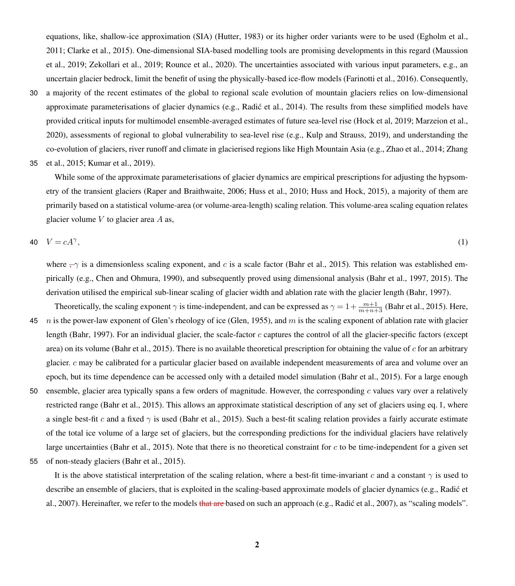equations, like, shallow-ice approximation (SIA) (Hutter, 1983) or its higher order variants were to be used (Egholm et al., 2011; Clarke et al., 2015). One-dimensional SIA-based modelling tools are promising developments in this regard (Maussion et al., 2019; Zekollari et al., 2019; Rounce et al., 2020). The uncertainties associated with various input parameters, e.g., an uncertain glacier bedrock, limit the benefit of using the physically-based ice-flow models (Farinotti et al., 2016). Consequently,

- 30 a majority of the recent estimates of the global to regional scale evolution of mountain glaciers relies on low-dimensional approximate parameterisations of glacier dynamics (e.g., Radic et al., 2014). The results from these simplified models have provided critical inputs for multimodel ensemble-averaged estimates of future sea-level rise (Hock et al, 2019; Marzeion et al., 2020), assessments of regional to global vulnerability to sea-level rise (e.g., Kulp and Strauss, 2019), and understanding the co-evolution of glaciers, river runoff and climate in glacierised regions like High Mountain Asia (e.g., Zhao et al., 2014; Zhang
- 35 et al., 2015; Kumar et al., 2019).

While some of the approximate parameterisations of glacier dynamics are empirical prescriptions for adjusting the hypsometry of the transient glaciers (Raper and Braithwaite, 2006; Huss et al., 2010; Huss and Hock, 2015), a majority of them are primarily based on a statistical volume-area (or volume-area-length) scaling relation. This volume-area scaling equation relates glacier volume  $V$  to glacier area  $A$  as,

$$
40 \quad V = cA^{\gamma},\tag{1}
$$

where  $-\gamma$  is a dimensionless scaling exponent, and c is a scale factor (Bahr et al., 2015). This relation was established empirically (e.g., Chen and Ohmura, 1990), and subsequently proved using dimensional analysis (Bahr et al., 1997, 2015). The derivation utilised the empirical sub-linear scaling of glacier width and ablation rate with the glacier length (Bahr, 1997).

- Theoretically, the scaling exponent  $\gamma$  is time-independent, and can be expressed as  $\gamma = 1 + \frac{m+1}{m+n+3}$  (Bahr et al., 2015). Here, 45 *n* is the power-law exponent of Glen's rheology of ice (Glen, 1955), and  $m$  is the scaling exponent of ablation rate with glacier length (Bahr, 1997). For an individual glacier, the scale-factor c captures the control of all the glacier-specific factors (except area) on its volume (Bahr et al., 2015). There is no available theoretical prescription for obtaining the value of  $c$  for an arbitrary glacier. c may be calibrated for a particular glacier based on available independent measurements of area and volume over an epoch, but its time dependence can be accessed only with a detailed model simulation (Bahr et al., 2015). For a large enough 50 ensemble, glacier area typically spans a few orders of magnitude. However, the corresponding c values vary over a relatively
- restricted range (Bahr et al., 2015). This allows an approximate statistical description of any set of glaciers using eq. 1, where a single best-fit c and a fixed  $\gamma$  is used (Bahr et al., 2015). Such a best-fit scaling relation provides a fairly accurate estimate of the total ice volume of a large set of glaciers, but the corresponding predictions for the individual glaciers have relatively large uncertainties (Bahr et al., 2015). Note that there is no theoretical constraint for  $c$  to be time-independent for a given set
- 55 of non-steady glaciers (Bahr et al., 2015).

It is the above statistical interpretation of the scaling relation, where a best-fit time-invariant c and a constant  $\gamma$  is used to describe an ensemble of glaciers, that is exploited in the scaling-based approximate models of glacier dynamics (e.g., Radic et ´ al., 2007). Hereinafter, we refer to the models that are based on such an approach (e.g., Radic et al., 2007), as "scaling models".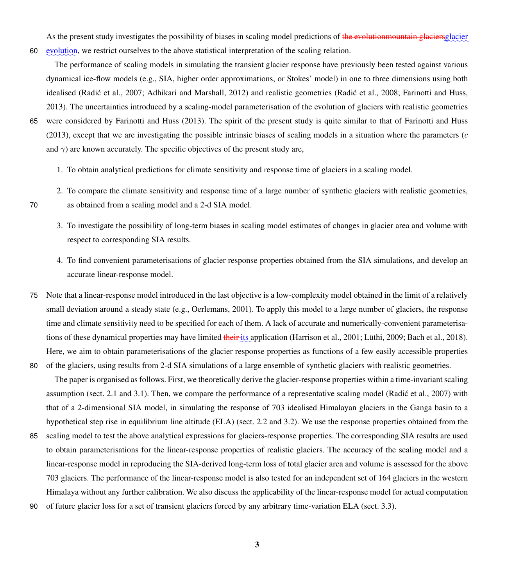As the present study investigates the possibility of biases in scaling model predictions of <del>the evolutionmountain glaciers</del>glacier 60 evolution, we restrict ourselves to the above statistical interpretation of the scaling relation.

The performance of scaling models in simulating the transient glacier response have previously been tested against various dynamical ice-flow models (e.g., SIA, higher order approximations, or Stokes' model) in one to three dimensions using both idealised (Radić et al., 2007; Adhikari and Marshall, 2012) and realistic geometries (Radić et al., 2008; Farinotti and Huss, 2013). The uncertainties introduced by a scaling-model parameterisation of the evolution of glaciers with realistic geometries 65 were considered by Farinotti and Huss (2013). The spirit of the present study is quite similar to that of Farinotti and Huss (2013), except that we are investigating the possible intrinsic biases of scaling models in a situation where the parameters (c and  $\gamma$ ) are known accurately. The specific objectives of the present study are,

- 1. To obtain analytical predictions for climate sensitivity and response time of glaciers in a scaling model.
- 2. To compare the climate sensitivity and response time of a large number of synthetic glaciers with realistic geometries, 70 as obtained from a scaling model and a 2-d SIA model.
- 
- 3. To investigate the possibility of long-term biases in scaling model estimates of changes in glacier area and volume with respect to corresponding SIA results.
- 4. To find convenient parameterisations of glacier response properties obtained from the SIA simulations, and develop an accurate linear-response model.
- 75 Note that a linear-response model introduced in the last objective is a low-complexity model obtained in the limit of a relatively small deviation around a steady state (e.g., Oerlemans, 2001). To apply this model to a large number of glaciers, the response time and climate sensitivity need to be specified for each of them. A lack of accurate and numerically-convenient parameterisations of these dynamical properties may have limited <del>their its</del> application (Harrison et al., 2001; Lüthi, 2009; Bach et al., 2018). Here, we aim to obtain parameterisations of the glacier response properties as functions of a few easily accessible properties
- 80 of the glaciers, using results from 2-d SIA simulations of a large ensemble of synthetic glaciers with realistic geometries. The paper is organised as follows. First, we theoretically derive the glacier-response properties within a time-invariant scaling assumption (sect. 2.1 and 3.1). Then, we compare the performance of a representative scaling model (Radic et al., 2007) with that of a 2-dimensional SIA model, in simulating the response of 703 idealised Himalayan glaciers in the Ganga basin to a hypothetical step rise in equilibrium line altitude (ELA) (sect. 2.2 and 3.2). We use the response properties obtained from the
- 85 scaling model to test the above analytical expressions for glaciers-response properties. The corresponding SIA results are used to obtain parameterisations for the linear-response properties of realistic glaciers. The accuracy of the scaling model and a linear-response model in reproducing the SIA-derived long-term loss of total glacier area and volume is assessed for the above 703 glaciers. The performance of the linear-response model is also tested for an independent set of 164 glaciers in the western Himalaya without any further calibration. We also discuss the applicability of the linear-response model for actual computation
- 90 of future glacier loss for a set of transient glaciers forced by any arbitrary time-variation ELA (sect. 3.3).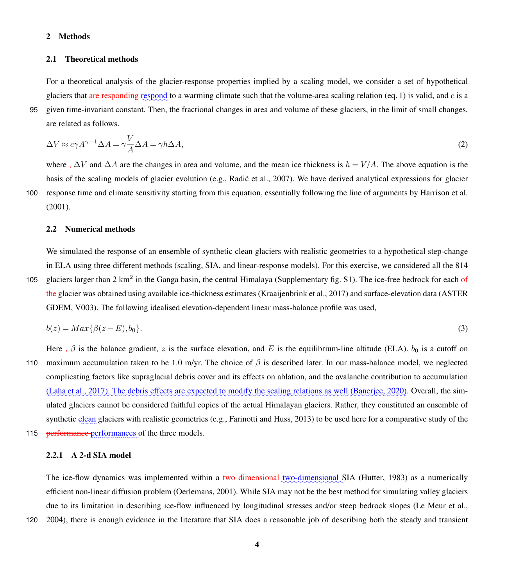# 2 Methods

## 2.1 Theoretical methods

For a theoretical analysis of the glacier-response properties implied by a scaling model, we consider a set of hypothetical glaciers that are responding respond to a warming climate such that the volume-area scaling relation (eq. 1) is valid, and  $c$  is a 95 given time-invariant constant. Then, the fractional changes in area and volume of these glaciers, in the limit of small changes, are related as follows.

$$
\Delta V \approx c\gamma A^{\gamma - 1} \Delta A = \gamma \frac{V}{A} \Delta A = \gamma h \Delta A,\tag{2}
$$

where  $\neg \Delta V$  and  $\Delta A$  are the changes in area and volume, and the mean ice thickness is  $h = V/A$ . The above equation is the basis of the scaling models of glacier evolution (e.g., Radić et al., 2007). We have derived analytical expressions for glacier 100 response time and climate sensitivity starting from this equation, essentially following the line of arguments by Harrison et al. (2001).

#### 2.2 Numerical methods

We simulated the response of an ensemble of synthetic clean glaciers with realistic geometries to a hypothetical step-change in ELA using three different methods (scaling, SIA, and linear-response models). For this exercise, we considered all the 814 105 glaciers larger than 2 km<sup>2</sup> in the Ganga basin, the central Himalaya (Supplementary fig. S1). The ice-free bedrock for each of the glacier was obtained using available ice-thickness estimates (Kraaijenbrink et al., 2017) and surface-elevation data (ASTER GDEM, V003). The following idealised elevation-dependent linear mass-balance profile was used,

$$
b(z) = Max\{\beta(z - E), b_0\}.\tag{3}
$$

Here  $-\beta$  is the balance gradient, z is the surface elevation, and E is the equilibrium-line altitude (ELA).  $b_0$  is a cutoff on 110 maximum accumulation taken to be 1.0 m/yr. The choice of  $\beta$  is described later. In our mass-balance model, we neglected complicating factors like supraglacial debris cover and its effects on ablation, and the avalanche contribution to accumulation (Laha et al., 2017). The debris effects are expected to modify the scaling relations as well (Banerjee, 2020). Overall, the simulated glaciers cannot be considered faithful copies of the actual Himalayan glaciers. Rather, they constituted an ensemble of synthetic clean glaciers with realistic geometries (e.g., Farinotti and Huss, 2013) to be used here for a comparative study of the

115 performance performances of the three models.

# 2.2.1 A 2-d SIA model

The ice-flow dynamics was implemented within a two dimensional two-dimensional SIA (Hutter, 1983) as a numerically efficient non-linear diffusion problem (Oerlemans, 2001). While SIA may not be the best method for simulating valley glaciers due to its limitation in describing ice-flow influenced by longitudinal stresses and/or steep bedrock slopes (Le Meur et al.,

120 2004), there is enough evidence in the literature that SIA does a reasonable job of describing both the steady and transient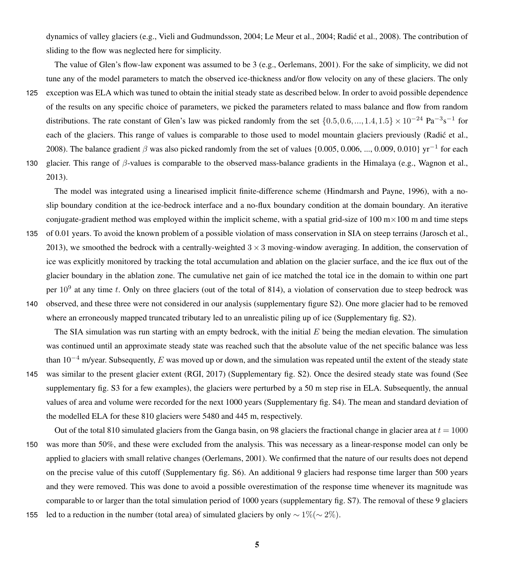dynamics of valley glaciers (e.g., Vieli and Gudmundsson, 2004; Le Meur et al., 2004; Radic et al., 2008). The contribution of ´ sliding to the flow was neglected here for simplicity.

The value of Glen's flow-law exponent was assumed to be 3 (e.g., Oerlemans, 2001). For the sake of simplicity, we did not tune any of the model parameters to match the observed ice-thickness and/or flow velocity on any of these glaciers. The only

125 exception was ELA which was tuned to obtain the initial steady state as described below. In order to avoid possible dependence of the results on any specific choice of parameters, we picked the parameters related to mass balance and flow from random distributions. The rate constant of Glen's law was picked randomly from the set  $\{0.5, 0.6, ..., 1.4, 1.5\} \times 10^{-24}$  Pa<sup>-3</sup>s<sup>-1</sup> for each of the glaciers. This range of values is comparable to those used to model mountain glaciers previously (Radic et al., 2008). The balance gradient  $\beta$  was also picked randomly from the set of values {0.005, 0.006, ..., 0.009, 0.010} yr<sup>-1</sup> for each 130 glacier. This range of  $\beta$ -values is comparable to the observed mass-balance gradients in the Himalaya (e.g., Wagnon et al.,

2013).

The model was integrated using a linearised implicit finite-difference scheme (Hindmarsh and Payne, 1996), with a noslip boundary condition at the ice-bedrock interface and a no-flux boundary condition at the domain boundary. An iterative conjugate-gradient method was employed within the implicit scheme, with a spatial grid-size of  $100 \text{ m} \times 100 \text{ m}$  and time steps

- 135 of 0.01 years. To avoid the known problem of a possible violation of mass conservation in SIA on steep terrains (Jarosch et al., 2013), we smoothed the bedrock with a centrally-weighted  $3 \times 3$  moving-window averaging. In addition, the conservation of ice was explicitly monitored by tracking the total accumulation and ablation on the glacier surface, and the ice flux out of the glacier boundary in the ablation zone. The cumulative net gain of ice matched the total ice in the domain to within one part per  $10^9$  at any time t. Only on three glaciers (out of the total of 814), a violation of conservation due to steep bedrock was
- 140 observed, and these three were not considered in our analysis (supplementary figure S2). One more glacier had to be removed where an erroneously mapped truncated tributary led to an unrealistic piling up of ice (Supplementary fig. S2).

The SIA simulation was run starting with an empty bedrock, with the initial  $E$  being the median elevation. The simulation was continued until an approximate steady state was reached such that the absolute value of the net specific balance was less than  $10^{-4}$  m/year. Subsequently, E was moved up or down, and the simulation was repeated until the extent of the steady state 145 was similar to the present glacier extent (RGI, 2017) (Supplementary fig. S2). Once the desired steady state was found (See

supplementary fig. S3 for a few examples), the glaciers were perturbed by a 50 m step rise in ELA. Subsequently, the annual values of area and volume were recorded for the next 1000 years (Supplementary fig. S4). The mean and standard deviation of the modelled ELA for these 810 glaciers were 5480 and 445 m, respectively.

- Out of the total 810 simulated glaciers from the Ganga basin, on 98 glaciers the fractional change in glacier area at  $t = 1000$ 150 was more than 50%, and these were excluded from the analysis. This was necessary as a linear-response model can only be applied to glaciers with small relative changes (Oerlemans, 2001). We confirmed that the nature of our results does not depend on the precise value of this cutoff (Supplementary fig. S6). An additional 9 glaciers had response time larger than 500 years and they were removed. This was done to avoid a possible overestimation of the response time whenever its magnitude was comparable to or larger than the total simulation period of 1000 years (supplementary fig. S7). The removal of these 9 glaciers
- 155 led to a reduction in the number (total area) of simulated glaciers by only ∼ 1%(∼ 2%).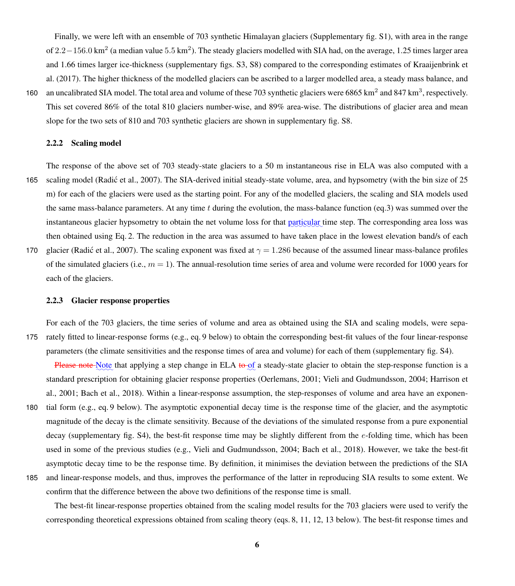Finally, we were left with an ensemble of 703 synthetic Himalayan glaciers (Supplementary fig. S1), with area in the range of 2.2−156.0 km<sup>2</sup> (a median value 5.5 km<sup>2</sup>). The steady glaciers modelled with SIA had, on the average, 1.25 times larger area and 1.66 times larger ice-thickness (supplementary figs. S3, S8) compared to the corresponding estimates of Kraaijenbrink et al. (2017). The higher thickness of the modelled glaciers can be ascribed to a larger modelled area, a steady mass balance, and 160 an uncalibrated SIA model. The total area and volume of these 703 synthetic glaciers were 6865 km<sup>2</sup> and 847 km<sup>3</sup>, respectively.

This set covered 86% of the total 810 glaciers number-wise, and 89% area-wise. The distributions of glacier area and mean slope for the two sets of 810 and 703 synthetic glaciers are shown in supplementary fig. S8.

# 2.2.2 Scaling model

The response of the above set of 703 steady-state glaciers to a 50 m instantaneous rise in ELA was also computed with a 165 scaling model (Radic et al., 2007). The SIA-derived initial steady-state volume, area, and hypsometry (with the bin size of 25 ´ m) for each of the glaciers were used as the starting point. For any of the modelled glaciers, the scaling and SIA models used the same mass-balance parameters. At any time t during the evolution, the mass-balance function (eq.3) was summed over the instantaneous glacier hypsometry to obtain the net volume loss for that particular time step. The corresponding area loss was then obtained using Eq. 2. The reduction in the area was assumed to have taken place in the lowest elevation band/s of each 170 glacier (Radić et al., 2007). The scaling exponent was fixed at  $\gamma = 1.286$  because of the assumed linear mass-balance profiles

of the simulated glaciers (i.e.,  $m = 1$ ). The annual-resolution time series of area and volume were recorded for 1000 years for each of the glaciers.

## 2.2.3 Glacier response properties

For each of the 703 glaciers, the time series of volume and area as obtained using the SIA and scaling models, were sepa-175 rately fitted to linear-response forms (e.g., eq. 9 below) to obtain the corresponding best-fit values of the four linear-response parameters (the climate sensitivities and the response times of area and volume) for each of them (supplementary fig. S4).

Please note Note that applying a step change in ELA to of a steady-state glacier to obtain the step-response function is a standard prescription for obtaining glacier response properties (Oerlemans, 2001; Vieli and Gudmundsson, 2004; Harrison et al., 2001; Bach et al., 2018). Within a linear-response assumption, the step-responses of volume and area have an exponen-

- 180 tial form (e.g., eq. 9 below). The asymptotic exponential decay time is the response time of the glacier, and the asymptotic magnitude of the decay is the climate sensitivity. Because of the deviations of the simulated response from a pure exponential decay (supplementary fig. S4), the best-fit response time may be slightly different from the e-folding time, which has been used in some of the previous studies (e.g., Vieli and Gudmundsson, 2004; Bach et al., 2018). However, we take the best-fit asymptotic decay time to be the response time. By definition, it minimises the deviation between the predictions of the SIA
- 185 and linear-response models, and thus, improves the performance of the latter in reproducing SIA results to some extent. We confirm that the difference between the above two definitions of the response time is small.

The best-fit linear-response properties obtained from the scaling model results for the 703 glaciers were used to verify the corresponding theoretical expressions obtained from scaling theory (eqs. 8, 11, 12, 13 below). The best-fit response times and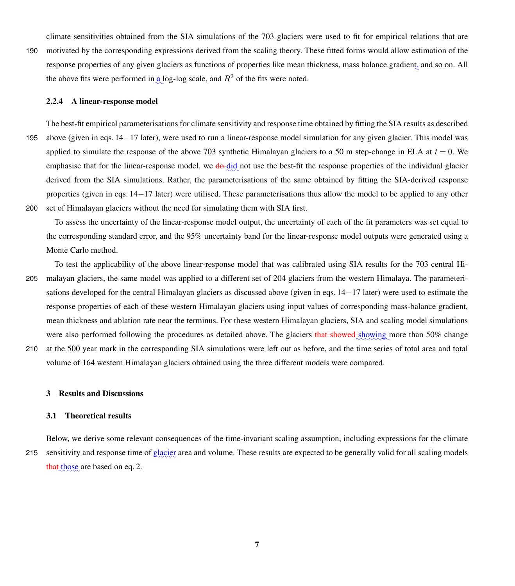climate sensitivities obtained from the SIA simulations of the 703 glaciers were used to fit for empirical relations that are

190 motivated by the corresponding expressions derived from the scaling theory. These fitted forms would allow estimation of the response properties of any given glaciers as functions of properties like mean thickness, mass balance gradient, and so on. All the above fits were performed in a log-log scale, and  $R^2$  of the fits were noted.

### 2.2.4 A linear-response model

The best-fit empirical parameterisations for climate sensitivity and response time obtained by fitting the SIA results as described 195 above (given in eqs. 14−17 later), were used to run a linear-response model simulation for any given glacier. This model was applied to simulate the response of the above 703 synthetic Himalayan glaciers to a 50 m step-change in ELA at  $t = 0$ . We emphasise that for the linear-response model, we do did not use the best-fit the response properties of the individual glacier derived from the SIA simulations. Rather, the parameterisations of the same obtained by fitting the SIA-derived response properties (given in eqs. 14−17 later) were utilised. These parameterisations thus allow the model to be applied to any other 200 set of Himalayan glaciers without the need for simulating them with SIA first.

To assess the uncertainty of the linear-response model output, the uncertainty of each of the fit parameters was set equal to the corresponding standard error, and the 95% uncertainty band for the linear-response model outputs were generated using a Monte Carlo method.

- To test the applicability of the above linear-response model that was calibrated using SIA results for the 703 central Hi-205 malayan glaciers, the same model was applied to a different set of 204 glaciers from the western Himalaya. The parameterisations developed for the central Himalayan glaciers as discussed above (given in eqs. 14−17 later) were used to estimate the response properties of each of these western Himalayan glaciers using input values of corresponding mass-balance gradient, mean thickness and ablation rate near the terminus. For these western Himalayan glaciers, SIA and scaling model simulations were also performed following the procedures as detailed above. The glaciers that showed showing more than 50% change
- 210 at the 500 year mark in the corresponding SIA simulations were left out as before, and the time series of total area and total volume of 164 western Himalayan glaciers obtained using the three different models were compared.

#### 3 Results and Discussions

# 3.1 Theoretical results

Below, we derive some relevant consequences of the time-invariant scaling assumption, including expressions for the climate 215 sensitivity and response time of **glacier** area and volume. These results are expected to be generally valid for all scaling models that those are based on eq. 2.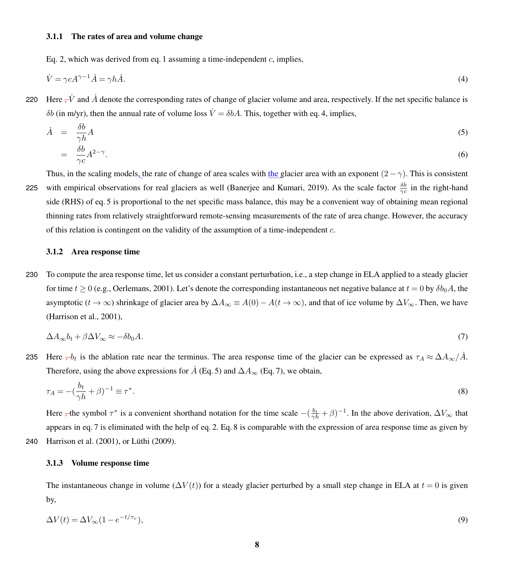## 3.1.1 The rates of area and volume change

Eq. 2, which was derived from eq. 1 assuming a time-independent  $c$ , implies,

$$
\dot{V} = \gamma c A^{\gamma - 1} \dot{A} = \gamma h \dot{A}.\tag{4}
$$

220 Here  $-\dot{V}$  and  $\dot{A}$  denote the corresponding rates of change of glacier volume and area, respectively. If the net specific balance is δb (in m/yr), then the annual rate of volume loss  $\dot{V} = δbA$ . This, together with eq. 4, implies,

$$
\dot{A} = \frac{\delta b}{\gamma h} A \tag{5}
$$
\n
$$
= \frac{\delta b}{\gamma c} A^{2-\gamma} . \tag{6}
$$

Thus, in the scaling models, the rate of change of area scales with the glacier area with an exponent  $(2-\gamma)$ . This is consistent 225 with empirical observations for real glaciers as well (Banerjee and Kumari, 2019). As the scale factor  $\frac{\delta b}{\gamma c}$  in the right-hand side (RHS) of eq. 5 is proportional to the net specific mass balance, this may be a convenient way of obtaining mean regional thinning rates from relatively straightforward remote-sensing measurements of the rate of area change. However, the accuracy of this relation is contingent on the validity of the assumption of a time-independent  $c$ .

#### 3.1.2 Area response time

230 To compute the area response time, let us consider a constant perturbation, i.e., a step change in ELA applied to a steady glacier for time  $t \ge 0$  (e.g., Oerlemans, 2001). Let's denote the corresponding instantaneous net negative balance at  $t = 0$  by  $\delta b_0 A$ , the asymptotic  $(t \to \infty)$  shrinkage of glacier area by  $\Delta A_{\infty} \equiv A(0) - A(t \to \infty)$ , and that of ice volume by  $\Delta V_{\infty}$ . Then, we have (Harrison et al., 2001),

$$
\Delta A_{\infty} b_t + \beta \Delta V_{\infty} \approx -\delta b_0 A. \tag{7}
$$

235 Here  $\tau b_t$  is the ablation rate near the terminus. The area response time of the glacier can be expressed as  $\tau_A \approx \Delta A_\infty / A$ . Therefore, using the above expressions for  $\dot{A}$  (Eq. 5) and  $\Delta A_{\infty}$  (Eq. 7), we obtain,

$$
\tau_A = -\left(\frac{b_t}{\gamma h} + \beta\right)^{-1} \equiv \tau^*.\tag{8}
$$

Here , the symbol  $\tau^*$  is a convenient shorthand notation for the time scale  $-(\frac{b_t}{\gamma h} + \beta)^{-1}$ . In the above derivation,  $\Delta V_{\infty}$  that appears in eq. 7 is eliminated with the help of eq. 2. Eq. 8 is comparable with the expression of area response time as given by 240 Harrison et al. (2001), or Lüthi (2009).

# 3.1.3 Volume response time

The instantaneous change in volume ( $\Delta V(t)$ ) for a steady glacier perturbed by a small step change in ELA at  $t = 0$  is given by,

$$
\Delta V(t) = \Delta V_{\infty} (1 - e^{-t/\tau_v}),\tag{9}
$$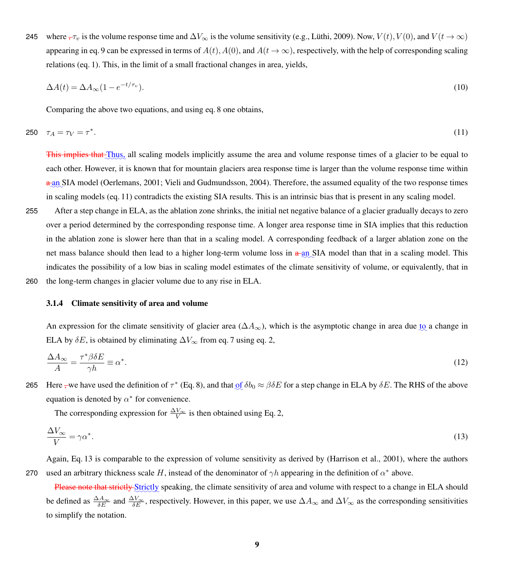245 where  $\tau_v$  is the volume response time and  $\Delta V_{\infty}$  is the volume sensitivity (e.g., Lüthi, 2009). Now,  $V(t)$ ,  $V(0)$ , and  $V(t \to \infty)$ appearing in eq. 9 can be expressed in terms of  $A(t)$ ,  $A(0)$ , and  $A(t \to \infty)$ , respectively, with the help of corresponding scaling relations (eq. 1). This, in the limit of a small fractional changes in area, yields,

$$
\Delta A(t) = \Delta A_{\infty} (1 - e^{-t/\tau_v}). \tag{10}
$$

Comparing the above two equations, and using eq. 8 one obtains,

$$
250 \quad \tau_A = \tau_V = \tau^* \tag{11}
$$

This implies that Thus, all scaling models implicitly assume the area and volume response times of a glacier to be equal to each other. However, it is known that for mountain glaciers area response time is larger than the volume response time within  $a$ <sub>an</sub> SIA model (Oerlemans, 2001; Vieli and Gudmundsson, 2004). Therefore, the assumed equality of the two response times in scaling models (eq. 11) contradicts the existing SIA results. This is an intrinsic bias that is present in any scaling model.

255 After a step change in ELA, as the ablation zone shrinks, the initial net negative balance of a glacier gradually decays to zero over a period determined by the corresponding response time. A longer area response time in SIA implies that this reduction in the ablation zone is slower here than that in a scaling model. A corresponding feedback of a larger ablation zone on the net mass balance should then lead to a higher long-term volume loss in  $a$ -an SIA model than that in a scaling model. This indicates the possibility of a low bias in scaling model estimates of the climate sensitivity of volume, or equivalently, that in

# 3.1.4 Climate sensitivity of area and volume

260 the long-term changes in glacier volume due to any rise in ELA.

An expression for the climate sensitivity of glacier area  $(\Delta A_{\infty})$ , which is the asymptotic change in area due to a change in ELA by  $\delta E$ , is obtained by eliminating  $\Delta V_{\infty}$  from eq. 7 using eq. 2,

$$
\frac{\Delta A_{\infty}}{A} = \frac{\tau^* \beta \delta E}{\gamma h} \equiv \alpha^*.
$$
\n(12)

265 Here <del>, w</del>e have used the definition of  $\tau^*$  (Eq. 8), and that <u>of</u>  $\delta b_0 \approx \beta \delta E$  for a step change in ELA by  $\delta E$ . The RHS of the above equation is denoted by  $\alpha^*$  for convenience.

The corresponding expression for  $\frac{\Delta V_{\infty}}{V}$  is then obtained using Eq. 2,

$$
\frac{\Delta V_{\infty}}{V} = \gamma \alpha^*.\tag{13}
$$

Again, Eq. 13 is comparable to the expression of volume sensitivity as derived by (Harrison et al., 2001), where the authors 270 used an arbitrary thickness scale H, instead of the denominator of  $\gamma h$  appearing in the definition of  $\alpha^*$  above.

Please note that strictly Strictly speaking, the climate sensitivity of area and volume with respect to a change in ELA should be defined as  $\frac{\Delta A_{\infty}}{\delta E}$  and  $\frac{\Delta V_{\infty}}{\delta E}$ , respectively. However, in this paper, we use  $\Delta A_{\infty}$  and  $\Delta V_{\infty}$  as the corresponding sensitivities to simplify the notation.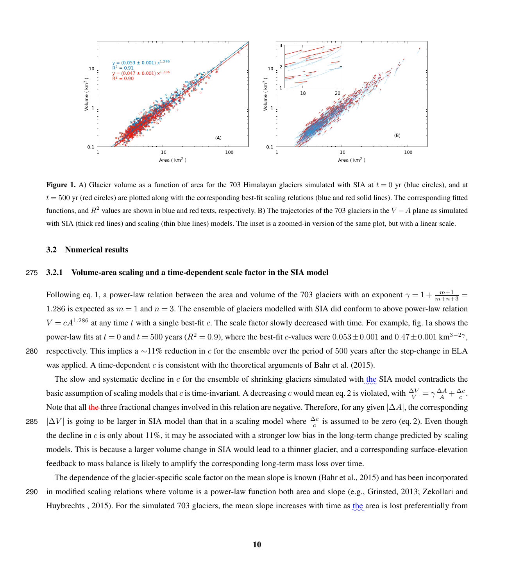

**Figure 1.** A) Glacier volume as a function of area for the 703 Himalayan glaciers simulated with SIA at  $t = 0$  yr (blue circles), and at  $t = 500$  yr (red circles) are plotted along with the corresponding best-fit scaling relations (blue and red solid lines). The corresponding fitted functions, and  $R^2$  values are shown in blue and red texts, respectively. B) The trajectories of the 703 glaciers in the  $V - A$  plane as simulated with SIA (thick red lines) and scaling (thin blue lines) models. The inset is a zoomed-in version of the same plot, but with a linear scale.

## 3.2 Numerical results

# 275 3.2.1 Volume-area scaling and a time-dependent scale factor in the SIA model

Following eq. 1, a power-law relation between the area and volume of the 703 glaciers with an exponent  $\gamma = 1 + \frac{m+1}{m+n+3}$ 1.286 is expected as  $m = 1$  and  $n = 3$ . The ensemble of glaciers modelled with SIA did conform to above power-law relation  $V = cA^{1.286}$  at any time t with a single best-fit c. The scale factor slowly decreased with time. For example, fig. 1a shows the power-law fits at  $t = 0$  and  $t = 500$  years ( $R^2 = 0.9$ ), where the best-fit c-values were  $0.053 \pm 0.001$  and  $0.47 \pm 0.001$  km<sup>3-2</sup><sup>γ</sup>, 280 respectively. This implies a ∼11% reduction in c for the ensemble over the period of 500 years after the step-change in ELA

The slow and systematic decline in  $c$  for the ensemble of shrinking glaciers simulated with the SIA model contradicts the basic assumption of scaling models that c is time-invariant. A decreasing c would mean eq. 2 is violated, with  $\frac{\Delta V}{V} = \gamma \frac{\Delta A}{A} + \frac{\Delta c}{c}$ . Note that all the three fractional changes involved in this relation are negative. Therefore, for any given  $|\Delta A|$ , the corresponding 285 | $\Delta V$ | is going to be larger in SIA model than that in a scaling model where  $\frac{\Delta c}{c}$  is assumed to be zero (eq. 2). Even though the decline in  $c$  is only about 11%, it may be associated with a stronger low bias in the long-term change predicted by scaling models. This is because a larger volume change in SIA would lead to a thinner glacier, and a corresponding surface-elevation

feedback to mass balance is likely to amplify the corresponding long-term mass loss over time.

was applied. A time-dependent c is consistent with the theoretical arguments of Bahr et al. (2015).

The dependence of the glacier-specific scale factor on the mean slope is known (Bahr et al., 2015) and has been incorporated 290 in modified scaling relations where volume is a power-law function both area and slope (e.g., Grinsted, 2013; Zekollari and Huybrechts , 2015). For the simulated 703 glaciers, the mean slope increases with time as the area is lost preferentially from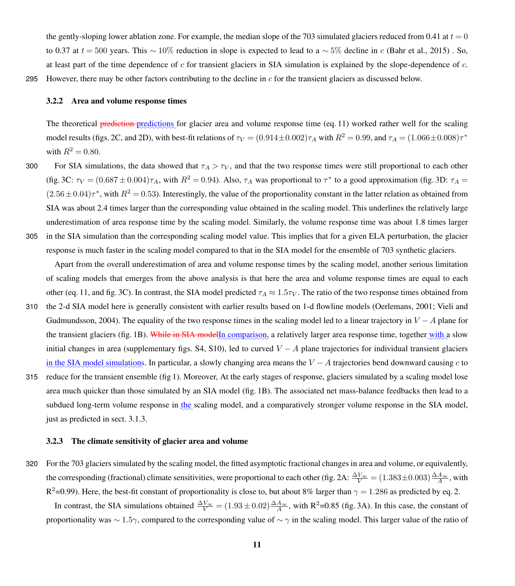the gently-sloping lower ablation zone. For example, the median slope of the 703 simulated glaciers reduced from 0.41 at  $t = 0$ to 0.37 at  $t = 500$  years. This ~ 10% reduction in slope is expected to lead to a ~ 5% decline in c (Bahr et al., 2015). So, at least part of the time dependence of  $c$  for transient glaciers in SIA simulation is explained by the slope-dependence of  $c$ . 295 However, there may be other factors contributing to the decline in  $c$  for the transient glaciers as discussed below.

### 3.2.2 Area and volume response times

The theoretical prediction-predictions for glacier area and volume response time (eq. 11) worked rather well for the scaling model results (figs. 2C, and 2D), with best-fit relations of  $\tau_V = (0.914 \pm 0.002) \tau_A$  with  $R^2 = 0.99$ , and  $\tau_A = (1.066 \pm 0.008) \tau^*$ with  $R^2 = 0.80$ .

300 For SIA simulations, the data showed that  $\tau_A > \tau_V$ , and that the two response times were still proportional to each other (fig. 3C:  $\tau_V = (0.687 \pm 0.004)\tau_A$ , with  $R^2 = 0.94$ ). Also,  $\tau_A$  was proportional to  $\tau^*$  to a good approximation (fig. 3D:  $\tau_A =$  $(2.56 \pm 0.04)\tau^*$ , with  $R^2 = 0.53$ ). Interestingly, the value of the proportionality constant in the latter relation as obtained from SIA was about 2.4 times larger than the corresponding value obtained in the scaling model. This underlines the relatively large underestimation of area response time by the scaling model. Similarly, the volume response time was about 1.8 times larger 305 in the SIA simulation than the corresponding scaling model value. This implies that for a given ELA perturbation, the glacier

response is much faster in the scaling model compared to that in the SIA model for the ensemble of 703 synthetic glaciers. Apart from the overall underestimation of area and volume response times by the scaling model, another serious limitation of scaling models that emerges from the above analysis is that here the area and volume response times are equal to each

- other (eq. 11, and fig. 3C). In contrast, the SIA model predicted  $\tau_A \approx 1.5\tau_V$ . The ratio of the two response times obtained from 310 the 2-d SIA model here is generally consistent with earlier results based on 1-d flowline models (Oerlemans, 2001; Vieli and Gudmundsson, 2004). The equality of the two response times in the scaling model led to a linear trajectory in  $V - A$  plane for the transient glaciers (fig. 1B). While in SIA modelln comparison, a relatively larger area response time, together with a slow initial changes in area (supplementary figs. S4, S10), led to curved  $V - A$  plane trajectories for individual transient glaciers in the SIA model simulations. In particular, a slowly changing area means the  $V - A$  trajectories bend downward causing c to
- 315 reduce for the transient ensemble (fig 1). Moreover, At the early stages of response, glaciers simulated by a scaling model lose area much quicker than those simulated by an SIA model (fig. 1B). The associated net mass-balance feedbacks then lead to a subdued long-term volume response in the scaling model, and a comparatively stronger volume response in the SIA model, just as predicted in sect. 3.1.3.

### 3.2.3 The climate sensitivity of glacier area and volume

320 For the 703 glaciers simulated by the scaling model, the fitted asymptotic fractional changes in area and volume, or equivalently, the corresponding (fractional) climate sensitivities, were proportional to each other (fig. 2A:  $\frac{\Delta V_{\infty}}{V} = (1.383 \pm 0.003) \frac{\Delta A_{\infty}}{A}$ , with  $R^2$ =0.99). Here, the best-fit constant of proportionality is close to, but about 8% larger than  $\gamma$  = 1.286 as predicted by eq. 2.

In contrast, the SIA simulations obtained  $\frac{\Delta V_{\infty}}{V}$  = (1.93 ± 0.02) $\frac{\Delta A_{\infty}}{A}$ , with R<sup>2</sup>=0.85 (fig. 3A). In this case, the constant of proportionality was  $\sim 1.5\gamma$ , compared to the corresponding value of  $\sim \gamma$  in the scaling model. This larger value of the ratio of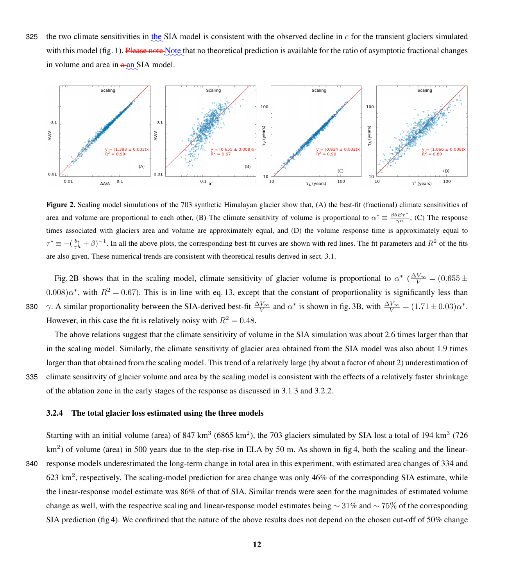325 the two climate sensitivities in the SIA model is consistent with the observed decline in  $c$  for the transient glaciers simulated with this model (fig. 1). Please note Note that no theoretical prediction is available for the ratio of asymptotic fractional changes in volume and area in  $a$ <sub>an</sub> SIA model.



Figure 2. Scaling model simulations of the 703 synthetic Himalayan glacier show that, (A) the best-fit (fractional) climate sensitivities of area and volume are proportional to each other, (B) The climate sensitivity of volume is proportional to  $\alpha^* \equiv \frac{\beta \delta E \tau^*}{\gamma h}$ , (C) The response times associated with glaciers area and volume are approximately equal, and (D) the volume response time is approximately equal to  $\tau^* \equiv -(\frac{b_t}{\gamma h} + \beta)^{-1}$ . In all the above plots, the corresponding best-fit curves are shown with red lines. The fit parameters and  $R^2$  of the fits are also given. These numerical trends are consistent with theoretical results derived in sect. 3.1.

Fig. 2B shows that in the scaling model, climate sensitivity of glacier volume is proportional to  $\alpha^*$  ( $\frac{\Delta V_{\infty}}{V}$  = (0.655  $\pm$  $(0.008)\alpha^*$ , with  $R^2 = 0.67$ ). This is in line with eq. 13, except that the constant of proportionality is significantly less than 330  $\gamma$ . A similar proportionality between the SIA-derived best-fit  $\frac{\Delta V_{\infty}}{V}$  and  $\alpha^*$  is shown in fig. 3B, with  $\frac{\Delta V_{\infty}}{V} = (1.71 \pm 0.03)\alpha^*$ . However, in this case the fit is relatively noisy with  $R^2 = 0.48$ .

The above relations suggest that the climate sensitivity of volume in the SIA simulation was about 2.6 times larger than that in the scaling model. Similarly, the climate sensitivity of glacier area obtained from the SIA model was also about 1.9 times larger than that obtained from the scaling model. This trend of a relatively large (by about a factor of about 2) underestimation of 335 climate sensitivity of glacier volume and area by the scaling model is consistent with the effects of a relatively faster shrinkage of the ablation zone in the early stages of the response as discussed in 3.1.3 and 3.2.2.

#### 3.2.4 The total glacier loss estimated using the three models

Starting with an initial volume (area) of  $847 \text{ km}^3$  (6865 km<sup>2</sup>), the 703 glaciers simulated by SIA lost a total of 194 km<sup>3</sup> (726  $km<sup>2</sup>$ ) of volume (area) in 500 years due to the step-rise in ELA by 50 m. As shown in fig 4, both the scaling and the linear-340 response models underestimated the long-term change in total area in this experiment, with estimated area changes of 334 and 623 km<sup>2</sup>, respectively. The scaling-model prediction for area change was only 46% of the corresponding SIA estimate, while the linear-response model estimate was 86% of that of SIA. Similar trends were seen for the magnitudes of estimated volume change as well, with the respective scaling and linear-response model estimates being  $\sim$  31% and  $\sim$  75% of the corresponding SIA prediction (fig 4). We confirmed that the nature of the above results does not depend on the chosen cut-off of 50% change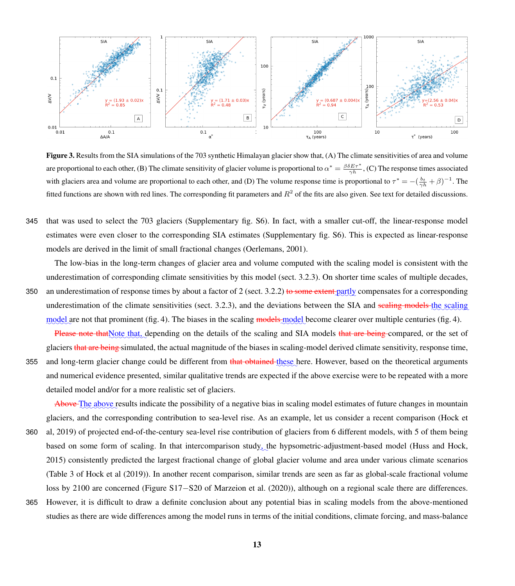

Figure 3. Results from the SIA simulations of the 703 synthetic Himalayan glacier show that, (A) The climate sensitivities of area and volume are proportional to each other, (B) The climate sensitivity of glacier volume is proportional to  $\alpha^* = \frac{\beta \delta E \tau^*}{\gamma h}$ , (C) The response times associated with glaciers area and volume are proportional to each other, and (D) The volume response time is proportional to  $\tau^* = -(\frac{b_t}{\gamma h} + \beta)^{-1}$ . The fitted functions are shown with red lines. The corresponding fit parameters and  $R^2$  of the fits are also given. See text for detailed discussions.

345 that was used to select the 703 glaciers (Supplementary fig. S6). In fact, with a smaller cut-off, the linear-response model estimates were even closer to the corresponding SIA estimates (Supplementary fig. S6). This is expected as linear-response models are derived in the limit of small fractional changes (Oerlemans, 2001).

The low-bias in the long-term changes of glacier area and volume computed with the scaling model is consistent with the underestimation of corresponding climate sensitivities by this model (sect. 3.2.3). On shorter time scales of multiple decades, 350 – an underestimation of response times by about a factor of 2 (sect. 3.2.2) <del>to some extent  $\rm partly$ </del> compensates for a corresponding underestimation of the climate sensitivities (sect. 3.2.3), and the deviations between the SIA and sealing models the scaling model are not that prominent (fig. 4). The biases in the scaling models model become clearer over multiple centuries (fig. 4).

Please note thatNote that, depending on the details of the scaling and SIA models that are being compared, or the set of glaciers that are being simulated, the actual magnitude of the biases in scaling-model derived climate sensitivity, response time,

355 and long-term glacier change could be different from <del>that obtained these</del> here. However, based on the theoretical arguments and numerical evidence presented, similar qualitative trends are expected if the above exercise were to be repeated with a more detailed model and/or for a more realistic set of glaciers.

Above The above results indicate the possibility of a negative bias in scaling model estimates of future changes in mountain glaciers, and the corresponding contribution to sea-level rise. As an example, let us consider a recent comparison (Hock et

- 360 al, 2019) of projected end-of-the-century sea-level rise contribution of glaciers from 6 different models, with 5 of them being based on some form of scaling. In that intercomparison study<sub>2</sub> the hypsometric-adjustment-based model (Huss and Hock, 2015) consistently predicted the largest fractional change of global glacier volume and area under various climate scenarios (Table 3 of Hock et al (2019)). In another recent comparison, similar trends are seen as far as global-scale fractional volume loss by 2100 are concerned (Figure S17−S20 of Marzeion et al. (2020)), although on a regional scale there are differences.
- 365 However, it is difficult to draw a definite conclusion about any potential bias in scaling models from the above-mentioned studies as there are wide differences among the model runs in terms of the initial conditions, climate forcing, and mass-balance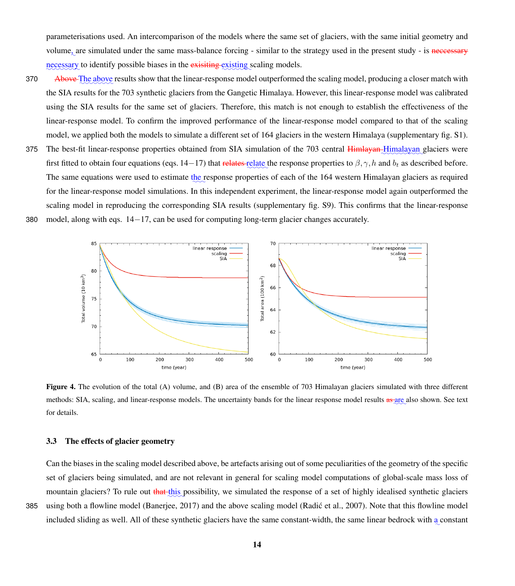parameterisations used. An intercomparison of the models where the same set of glaciers, with the same initial geometry and volume<sub>s</sub> are simulated under the same mass-balance forcing - similar to the strategy used in the present study - is necessary necessary to identify possible biases in the exisiting existing scaling models.

- 370 Above The above results show that the linear-response model outperformed the scaling model, producing a closer match with the SIA results for the 703 synthetic glaciers from the Gangetic Himalaya. However, this linear-response model was calibrated using the SIA results for the same set of glaciers. Therefore, this match is not enough to establish the effectiveness of the linear-response model. To confirm the improved performance of the linear-response model compared to that of the scaling model, we applied both the models to simulate a different set of 164 glaciers in the western Himalaya (supplementary fig. S1).
- 375 The best-fit linear-response properties obtained from SIA simulation of the 703 central Himlayan-Himalayan glaciers were first fitted to obtain four equations (eqs. 14–17) that relates relate the response properties to  $\beta, \gamma, h$  and  $b_t$  as described before. The same equations were used to estimate the response properties of each of the 164 western Himalayan glaciers as required for the linear-response model simulations. In this independent experiment, the linear-response model again outperformed the scaling model in reproducing the corresponding SIA results (supplementary fig. S9). This confirms that the linear-response 380 model, along with eqs. 14−17, can be used for computing long-term glacier changes accurately.



Figure 4. The evolution of the total (A) volume, and (B) area of the ensemble of 703 Himalayan glaciers simulated with three different methods: SIA, scaling, and linear-response models. The uncertainty bands for the linear response model results as are also shown. See text for details.

# 3.3 The effects of glacier geometry

Can the biases in the scaling model described above, be artefacts arising out of some peculiarities of the geometry of the specific set of glaciers being simulated, and are not relevant in general for scaling model computations of global-scale mass loss of mountain glaciers? To rule out that this possibility, we simulated the response of a set of highly idealised synthetic glaciers 385 using both a flowline model (Banerjee, 2017) and the above scaling model (Radic et al., 2007). Note that this flowline model ´ included sliding as well. All of these synthetic glaciers have the same constant-width, the same linear bedrock with a constant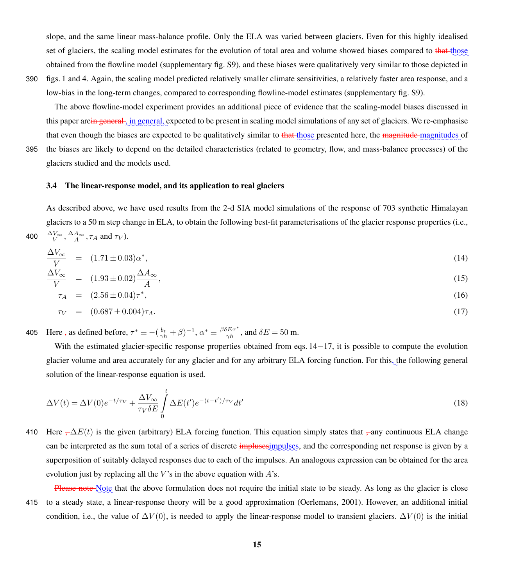slope, and the same linear mass-balance profile. Only the ELA was varied between glaciers. Even for this highly idealised set of glaciers, the scaling model estimates for the evolution of total area and volume showed biases compared to that those obtained from the flowline model (supplementary fig. S9), and these biases were qualitatively very similar to those depicted in 390 figs. 1 and 4. Again, the scaling model predicted relatively smaller climate sensitivities, a relatively faster area response, and a

low-bias in the long-term changes, compared to corresponding flowline-model estimates (supplementary fig. S9).

The above flowline-model experiment provides an additional piece of evidence that the scaling-model biases discussed in this paper are<del>in general , in general,</del> expected to be present in scaling model simulations of any set of glaciers. We re-emphasise that even though the biases are expected to be qualitatively similar to that those presented here, the magnitude magnitudes of 395 the biases are likely to depend on the detailed characteristics (related to geometry, flow, and mass-balance processes) of the glaciers studied and the models used.

# 3.4 The linear-response model, and its application to real glaciers

As described above, we have used results from the 2-d SIA model simulations of the response of 703 synthetic Himalayan glaciers to a 50 m step change in ELA, to obtain the following best-fit parameterisations of the glacier response properties (i.e., 400  $\frac{\Delta V_{\infty}}{V}, \frac{\Delta A_{\infty}}{A}, \tau_A$  and  $\tau_V$ ).

$$
\frac{\Delta V_{\infty}}{V} = (1.71 \pm 0.03)\alpha^*,\tag{14}
$$

$$
\frac{\Delta V_{\infty}}{V} = (1.93 \pm 0.02) \frac{\Delta A_{\infty}}{A},\tag{15}
$$

$$
\tau_A = (2.56 \pm 0.04)\tau^*,\tag{16}
$$

$$
\tau_V = (0.687 \pm 0.004)\tau_A. \tag{17}
$$

405 Here  $\overline{\tau}$  as defined before,  $\tau^* \equiv -(\frac{b_t}{\gamma h} + \beta)^{-1}$ ,  $\alpha^* \equiv \frac{\beta \delta E \tau^*}{\gamma h}$ , and  $\delta E = 50$  m.

With the estimated glacier-specific response properties obtained from eqs. 14−17, it is possible to compute the evolution glacier volume and area accurately for any glacier and for any arbitrary ELA forcing function. For this, the following general solution of the linear-response equation is used.

$$
\Delta V(t) = \Delta V(0)e^{-t/\tau_V} + \frac{\Delta V_{\infty}}{\tau_V \delta E} \int_{0}^{t} \Delta E(t')e^{-(t-t')/\tau_V} dt'
$$
\n(18)

- 410 Here  $\frac{1}{2}\Delta E(t)$  is the given (arbitrary) ELA forcing function. This equation simply states that  $\frac{1}{2}$  any continuous ELA change can be interpreted as the sum total of a series of discrete implusesimpulses, and the corresponding net response is given by a superposition of suitably delayed responses due to each of the impulses. An analogous expression can be obtained for the area evolution just by replacing all the  $V$ 's in the above equation with  $A$ 's.
- Please note Note that the above formulation does not require the initial state to be steady. As long as the glacier is close 415 to a steady state, a linear-response theory will be a good approximation (Oerlemans, 2001). However, an additional initial condition, i.e., the value of  $\Delta V(0)$ , is needed to apply the linear-response model to transient glaciers.  $\Delta V(0)$  is the initial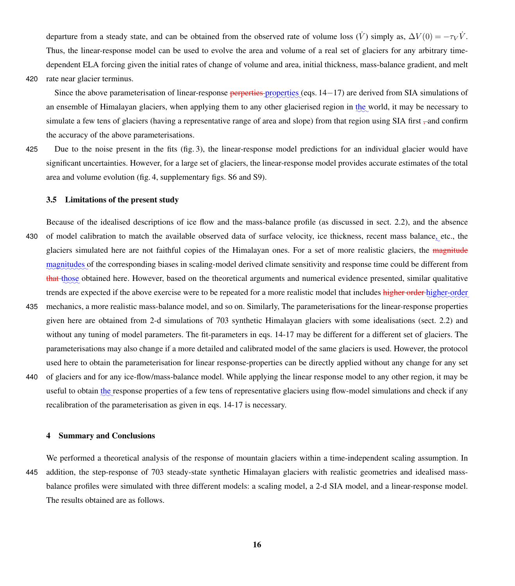departure from a steady state, and can be obtained from the observed rate of volume loss  $(\dot{V})$  simply as,  $\Delta V(0) = -\tau_V \dot{V}$ . Thus, the linear-response model can be used to evolve the area and volume of a real set of glaciers for any arbitrary timedependent ELA forcing given the initial rates of change of volume and area, initial thickness, mass-balance gradient, and melt 420 rate near glacier terminus.

Since the above parameterisation of linear-response <del>perperties</del> properties (eqs. 14−17) are derived from SIA simulations of an ensemble of Himalayan glaciers, when applying them to any other glacierised region in the world, it may be necessary to simulate a few tens of glaciers (having a representative range of area and slope) from that region using SIA first –and confirm the accuracy of the above parameterisations.

425 Due to the noise present in the fits (fig. 3), the linear-response model predictions for an individual glacier would have significant uncertainties. However, for a large set of glaciers, the linear-response model provides accurate estimates of the total area and volume evolution (fig. 4, supplementary figs. S6 and S9).

#### 3.5 Limitations of the present study

- Because of the idealised descriptions of ice flow and the mass-balance profile (as discussed in sect. 2.2), and the absence 430 of model calibration to match the available observed data of surface velocity, ice thickness, recent mass balance, etc., the glaciers simulated here are not faithful copies of the Himalayan ones. For a set of more realistic glaciers, the magnitude magnitudes of the corresponding biases in scaling-model derived climate sensitivity and response time could be different from that those obtained here. However, based on the theoretical arguments and numerical evidence presented, similar qualitative trends are expected if the above exercise were to be repeated for a more realistic model that includes higher order higher-order 435 mechanics, a more realistic mass-balance model, and so on. Similarly, The parameterisations for the linear-response properties given here are obtained from 2-d simulations of 703 synthetic Himalayan glaciers with some idealisations (sect. 2.2) and
- without any tuning of model parameters. The fit-parameters in eqs. 14-17 may be different for a different set of glaciers. The parameterisations may also change if a more detailed and calibrated model of the same glaciers is used. However, the protocol used here to obtain the parameterisation for linear response-properties can be directly applied without any change for any set
- 440 of glaciers and for any ice-flow/mass-balance model. While applying the linear response model to any other region, it may be useful to obtain the response properties of a few tens of representative glaciers using flow-model simulations and check if any recalibration of the parameterisation as given in eqs. 14-17 is necessary.

## 4 Summary and Conclusions

We performed a theoretical analysis of the response of mountain glaciers within a time-independent scaling assumption. In 445 addition, the step-response of 703 steady-state synthetic Himalayan glaciers with realistic geometries and idealised massbalance profiles were simulated with three different models: a scaling model, a 2-d SIA model, and a linear-response model. The results obtained are as follows.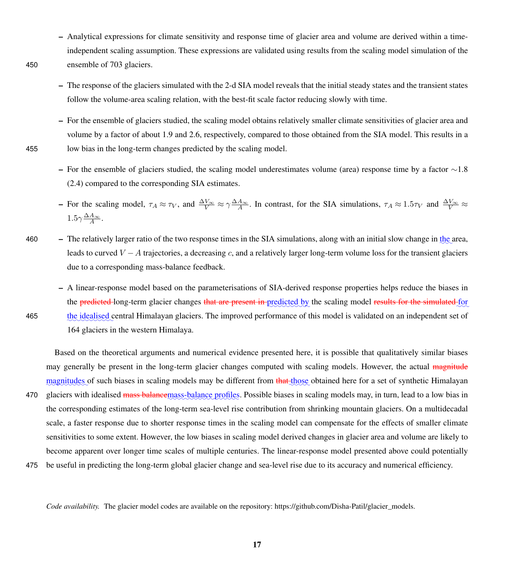- Analytical expressions for climate sensitivity and response time of glacier area and volume are derived within a timeindependent scaling assumption. These expressions are validated using results from the scaling model simulation of the 450 ensemble of 703 glaciers.
	- The response of the glaciers simulated with the 2-d SIA model reveals that the initial steady states and the transient states follow the volume-area scaling relation, with the best-fit scale factor reducing slowly with time.
- For the ensemble of glaciers studied, the scaling model obtains relatively smaller climate sensitivities of glacier area and volume by a factor of about 1.9 and 2.6, respectively, compared to those obtained from the SIA model. This results in a 455 low bias in the long-term changes predicted by the scaling model.
	- For the ensemble of glaciers studied, the scaling model underestimates volume (area) response time by a factor  $\sim$ 1.8 (2.4) compared to the corresponding SIA estimates.
	- For the scaling model,  $\tau_A \approx \tau_V$ , and  $\frac{\Delta V_{\infty}}{V} \approx \gamma \frac{\Delta A_{\infty}}{A}$ . In contrast, for the SIA simulations,  $\tau_A \approx 1.5 \tau_V$  and  $\frac{\Delta V_{\infty}}{V} \approx$  $1.5\gamma \frac{\Delta A_{\infty}}{A}$ .
- 460  $-$  The relatively larger ratio of the two response times in the SIA simulations, along with an initial slow change in the area, leads to curved  $V - A$  trajectories, a decreasing c, and a relatively larger long-term volume loss for the transient glaciers due to a corresponding mass-balance feedback.
- A linear-response model based on the parameterisations of SIA-derived response properties helps reduce the biases in the predicted long-term glacier changes that are present in predicted by the scaling model results for the simulated for the idealised central Himalayan glaciers. The improved performance of this model is validated on an independent set of 164 glaciers in the western Himalaya.

Based on the theoretical arguments and numerical evidence presented here, it is possible that qualitatively similar biases may generally be present in the long-term glacier changes computed with scaling models. However, the actual magnitude magnitudes of such biases in scaling models may be different from that those obtained here for a set of synthetic Himalayan 470 glaciers with idealised mass balancemass-balance profiles. Possible biases in scaling models may, in turn, lead to a low bias in the corresponding estimates of the long-term sea-level rise contribution from shrinking mountain glaciers. On a multidecadal scale, a faster response due to shorter response times in the scaling model can compensate for the effects of smaller climate sensitivities to some extent. However, the low biases in scaling model derived changes in glacier area and volume are likely to become apparent over longer time scales of multiple centuries. The linear-response model presented above could potentially

475 be useful in predicting the long-term global glacier change and sea-level rise due to its accuracy and numerical efficiency.

*Code availability.* The glacier model codes are available on the repository: https://github.com/Disha-Patil/glacier\_models.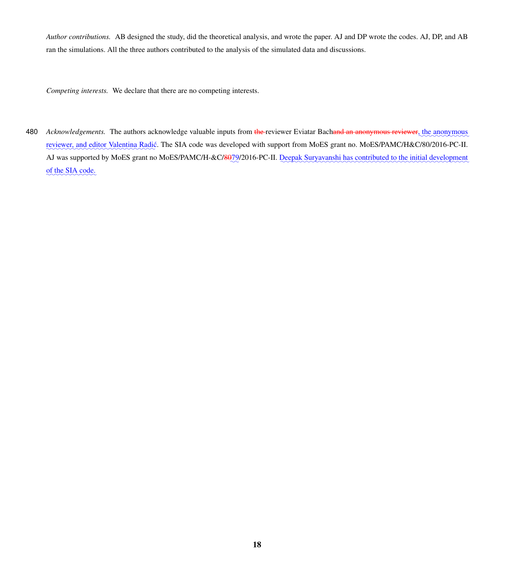*Author contributions.* AB designed the study, did the theoretical analysis, and wrote the paper. AJ and DP wrote the codes. AJ, DP, and AB ran the simulations. All the three authors contributed to the analysis of the simulated data and discussions.

*Competing interests.* We declare that there are no competing interests.

480 *Acknowledgements*. The authors acknowledge valuable inputs from the reviewer Eviatar Bachand an anonymous reviewer, the anonymous reviewer, and editor Valentina Radić. The SIA code was developed with support from MoES grant no. MoES/PAMC/H&C/80/2016-PC-II. AJ was supported by MoES grant no MoES/PAMC/H-&C/8079/2016-PC-II. Deepak Suryavanshi has contributed to the initial development of the SIA code.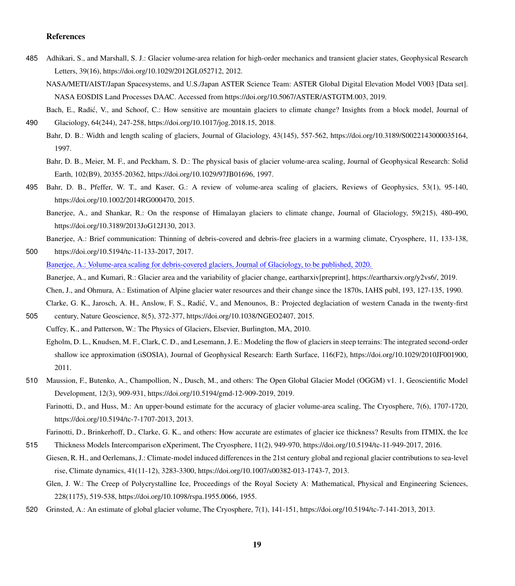# References

- 485 Adhikari, S., and Marshall, S. J.: Glacier volume-area relation for high-order mechanics and transient glacier states, Geophysical Research Letters, 39(16), https://doi.org/10.1029/2012GL052712, 2012.
	- NASA/METI/AIST/Japan Spacesystems, and U.S./Japan ASTER Science Team: ASTER Global Digital Elevation Model V003 [Data set]. NASA EOSDIS Land Processes DAAC. Accessed from https://doi.org/10.5067/ASTER/ASTGTM.003, 2019.
- Bach, E., Radić, V., and Schoof, C.: How sensitive are mountain glaciers to climate change? Insights from a block model, Journal of 490 Glaciology, 64(244), 247-258, https://doi.org/10.1017/jog.2018.15, 2018.
	- Bahr, D. B.: Width and length scaling of glaciers, Journal of Glaciology, 43(145), 557-562, https://doi.org/10.3189/S0022143000035164, 1997.
		- Bahr, D. B., Meier, M. F., and Peckham, S. D.: The physical basis of glacier volume-area scaling, Journal of Geophysical Research: Solid Earth, 102(B9), 20355-20362, https://doi.org/10.1029/97JB01696, 1997.
- 495 Bahr, D. B., Pfeffer, W. T., and Kaser, G.: A review of volume-area scaling of glaciers, Reviews of Geophysics, 53(1), 95-140, https://doi.org/10.1002/2014RG000470, 2015.
	- Banerjee, A., and Shankar, R.: On the response of Himalayan glaciers to climate change, Journal of Glaciology, 59(215), 480-490, https://doi.org/10.3189/2013JoG12J130, 2013.

Banerjee, A.: Brief communication: Thinning of debris-covered and debris-free glaciers in a warming climate, Cryosphere, 11, 133-138,

500 https://doi.org/10.5194/tc-11-133-2017, 2017.

Banerjee, A.: Volume-area scaling for debris-covered glaciers, Journal of Glaciology, to be published, 2020.

Banerjee, A., and Kumari, R.: Glacier area and the variability of glacier change, eartharxiv[preprint], https://eartharxiv.org/y2vs6/, 2019.

Chen, J., and Ohmura, A.: Estimation of Alpine glacier water resources and their change since the 1870s, IAHS publ, 193, 127-135, 1990.

Clarke, G. K., Jarosch, A. H., Anslow, F. S., Radic, V., and Menounos, B.: Projected deglaciation of western Canada in the twenty-first ´ 505 century, Nature Geoscience, 8(5), 372-377, https://doi.org/10.1038/NGEO2407, 2015.

Cuffey, K., and Patterson, W.: The Physics of Glaciers, Elsevier, Burlington, MA, 2010.

- Egholm, D. L., Knudsen, M. F., Clark, C. D., and Lesemann, J. E.: Modeling the flow of glaciers in steep terrains: The integrated second-order shallow ice approximation (iSOSIA), Journal of Geophysical Research: Earth Surface, 116(F2), https://doi.org/10.1029/2010JF001900, 2011.
- 510 Maussion, F., Butenko, A., Champollion, N., Dusch, M., and others: The Open Global Glacier Model (OGGM) v1. 1, Geoscientific Model Development, 12(3), 909-931, https://doi.org/10.5194/gmd-12-909-2019, 2019.
	- Farinotti, D., and Huss, M.: An upper-bound estimate for the accuracy of glacier volume-area scaling, The Cryosphere, 7(6), 1707-1720, https://doi.org/10.5194/tc-7-1707-2013, 2013.

Farinotti, D., Brinkerhoff, D., Clarke, G. K., and others: How accurate are estimates of glacier ice thickness? Results from ITMIX, the Ice

- 515 Thickness Models Intercomparison eXperiment, The Cryosphere, 11(2), 949-970, https://doi.org/10.5194/tc-11-949-2017, 2016.
	- Giesen, R. H., and Oerlemans, J.: Climate-model induced differences in the 21st century global and regional glacier contributions to sea-level rise, Climate dynamics, 41(11-12), 3283-3300, https://doi.org/10.1007/s00382-013-1743-7, 2013.
		- Glen, J. W.: The Creep of Polycrystalline Ice, Proceedings of the Royal Society A: Mathematical, Physical and Engineering Sciences, 228(1175), 519-538, https://doi.org/10.1098/rspa.1955.0066, 1955.
- 520 Grinsted, A.: An estimate of global glacier volume, The Cryosphere, 7(1), 141-151, https://doi.org/10.5194/tc-7-141-2013, 2013.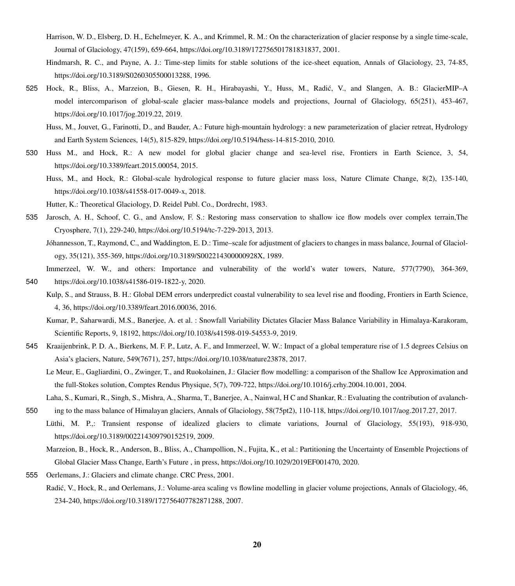- Harrison, W. D., Elsberg, D. H., Echelmeyer, K. A., and Krimmel, R. M.: On the characterization of glacier response by a single time-scale, Journal of Glaciology, 47(159), 659-664, https://doi.org/10.3189/172756501781831837, 2001.
- Hindmarsh, R. C., and Payne, A. J.: Time-step limits for stable solutions of the ice-sheet equation, Annals of Glaciology, 23, 74-85, https://doi.org/10.3189/S0260305500013288, 1996.
- 525 Hock, R., Bliss, A., Marzeion, B., Giesen, R. H., Hirabayashi, Y., Huss, M., Radic, V., and Slangen, A. B.: GlacierMIP–A ´ model intercomparison of global-scale glacier mass-balance models and projections, Journal of Glaciology, 65(251), 453-467, https://doi.org/10.1017/jog.2019.22, 2019.
	- Huss, M., Jouvet, G., Farinotti, D., and Bauder, A.: Future high-mountain hydrology: a new parameterization of glacier retreat, Hydrology and Earth System Sciences, 14(5), 815-829, https://doi.org/10.5194/hess-14-815-2010, 2010.
- 530 Huss M., and Hock, R.: A new model for global glacier change and sea-level rise, Frontiers in Earth Science, 3, 54, https://doi.org/10.3389/feart.2015.00054, 2015.
	- Huss, M., and Hock, R.: Global-scale hydrological response to future glacier mass loss, Nature Climate Change, 8(2), 135-140, https://doi.org/10.1038/s41558-017-0049-x, 2018.
	- Hutter, K.: Theoretical Glaciology, D. Reidel Publ. Co., Dordrecht, 1983.
- 535 Jarosch, A. H., Schoof, C. G., and Anslow, F. S.: Restoring mass conservation to shallow ice flow models over complex terrain,The Cryosphere, 7(1), 229-240, https://doi.org/10.5194/tc-7-229-2013, 2013.
	- Jóhannesson, T., Raymond, C., and Waddington, E. D.: Time–scale for adjustment of glaciers to changes in mass balance, Journal of Glaciology, 35(121), 355-369, https://doi.org/10.3189/S002214300000928X, 1989.
- Immerzeel, W. W., and others: Importance and vulnerability of the world's water towers, Nature, 577(7790), 364-369, 540 https://doi.org/10.1038/s41586-019-1822-y, 2020.
	- Kulp, S., and Strauss, B. H.: Global DEM errors underpredict coastal vulnerability to sea level rise and flooding, Frontiers in Earth Science, 4, 36, https://doi.org/10.3389/feart.2016.00036, 2016.
	- Kumar, P., Saharwardi, M.S., Banerjee, A. et al. : Snowfall Variability Dictates Glacier Mass Balance Variability in Himalaya-Karakoram, Scientific Reports, 9, 18192, https://doi.org/10.1038/s41598-019-54553-9, 2019.
- 545 Kraaijenbrink, P. D. A., Bierkens, M. F. P., Lutz, A. F., and Immerzeel, W. W.: Impact of a global temperature rise of 1.5 degrees Celsius on Asia's glaciers, Nature, 549(7671), 257, https://doi.org/10.1038/nature23878, 2017.
	- Le Meur, E., Gagliardini, O., Zwinger, T., and Ruokolainen, J.: Glacier flow modelling: a comparison of the Shallow Ice Approximation and the full-Stokes solution, Comptes Rendus Physique, 5(7), 709-722, https://doi.org/10.1016/j.crhy.2004.10.001, 2004.
	- Laha, S., Kumari, R., Singh, S., Mishra, A., Sharma, T., Banerjee, A., Nainwal, H C and Shankar, R.: Evaluating the contribution of avalanch-
- 550 ing to the mass balance of Himalayan glaciers, Annals of Glaciology, 58(75pt2), 110-118, https://doi.org/10.1017/aog.2017.27, 2017.
	- Lüthi, M. P.,: Transient response of idealized glaciers to climate variations, Journal of Glaciology, 55(193), 918-930, https://doi.org/10.3189/002214309790152519, 2009.
		- Marzeion, B., Hock, R., Anderson, B., Bliss, A., Champollion, N., Fujita, K., et al.: Partitioning the Uncertainty of Ensemble Projections of Global Glacier Mass Change, Earth's Future , in press, https://doi.org/10.1029/2019EF001470, 2020.
- 555 Oerlemans, J.: Glaciers and climate change. CRC Press, 2001.
	- Radić, V., Hock, R., and Oerlemans, J.: Volume-area scaling vs flowline modelling in glacier volume projections, Annals of Glaciology, 46, 234-240, https://doi.org/10.3189/172756407782871288, 2007.